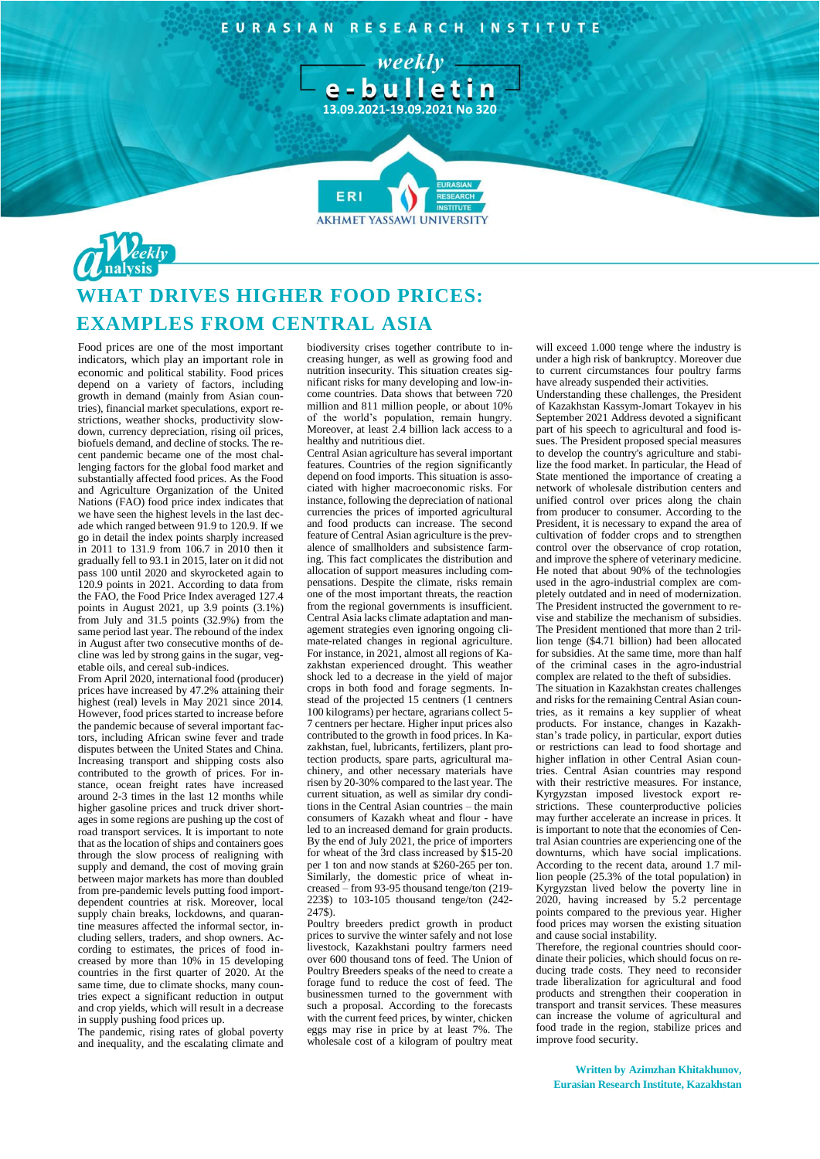EURASIAN RESEARCH INSTITUTE

**13.09.2021-19.09.2021 No 320** 

**AKHMET YASSAWI UNIVERSIT** 

**FR** 

weekly-



## **WHAT DRIVES HIGHER FOOD PRICES: EXAMPLES FROM CENTRAL ASIA**

Food prices are one of the most important indicators, which play an important role in economic and political stability. Food prices depend on a variety of factors, including growth in demand (mainly from Asian countries), financial market speculations, export restrictions, weather shocks, productivity slowdown, currency depreciation, rising oil prices, biofuels demand, and decline of stocks. The recent pandemic became one of the most challenging factors for the global food market and substantially affected food prices. As the Food and Agriculture Organization of the United Nations (FAO) food price index indicates that we have seen the highest levels in the last decade which ranged between 91.9 to 120.9. If we go in detail the index points sharply increased in 2011 to 131.9 from 106.7 in 2010 then it gradually fell to 93.1 in 2015, later on it did not pass 100 until 2020 and skyrocketed again to 120.9 points in 2021. According to data from the FAO, the Food Price Index averaged 127.4 points in August 2021, up 3.9 points (3.1%) from July and  $31.5$  points  $(32.9%)$  from the same period last year. The rebound of the index in August after two consecutive months of decline was led by strong gains in the sugar, vegetable oils, and cereal sub-indices.

From April 2020, international food (producer) prices have increased by 47.2% attaining their highest (real) levels in May 2021 since 2014. However, food prices started to increase before the pandemic because of several important factors, including African swine fever and trade disputes between the United States and China. Increasing transport and shipping costs also contributed to the growth of prices. For instance, ocean freight rates have increased around 2-3 times in the last 12 months while higher gasoline prices and truck driver shortages in some regions are pushing up the cost of road transport services. It is important to note that as the location of ships and containers goes through the slow process of realigning with supply and demand, the cost of moving grain between major markets has more than doubled from pre-pandemic levels putting food importdependent countries at risk. Moreover, local supply chain breaks, lockdowns, and quarantine measures affected the informal sector, including sellers, traders, and shop owners. According to estimates, the prices of food increased by more than 10% in 15 developing countries in the first quarter of 2020. At the same time, due to climate shocks, many countries expect a significant reduction in output and crop yields, which will result in a decrease in supply pushing food prices up.

The pandemic, rising rates of global poverty and inequality, and the escalating climate and

biodiversity crises together contribute to increasing hunger, as well as growing food and nutrition insecurity. This situation creates significant risks for many developing and low-income countries. Data shows that between 720 million and 811 million people, or about 10% of the world's population, remain hungry. Moreover, at least 2.4 billion lack access to a healthy and nutritious diet.

Central Asian agriculture has several important features. Countries of the region significantly depend on food imports. This situation is associated with higher macroeconomic risks. For instance, following the depreciation of national currencies the prices of imported agricultural and food products can increase. The second feature of Central Asian agriculture is the prevalence of smallholders and subsistence farming. This fact complicates the distribution and allocation of support measures including compensations. Despite the climate, risks remain one of the most important threats, the reaction from the regional governments is insufficient. Central Asia lacks climate adaptation and management strategies even ignoring ongoing climate-related changes in regional agriculture. For instance, in 2021, almost all regions of Kazakhstan experienced drought. This weather shock led to a decrease in the yield of major crops in both food and forage segments. Instead of the projected 15 centners (1 centners 100 kilograms) per hectare, agrarians collect 5- 7 centners per hectare. Higher input prices also contributed to the growth in food prices. In Kazakhstan, fuel, lubricants, fertilizers, plant protection products, spare parts, agricultural machinery, and other necessary materials have risen by 20-30% compared to the last year. The current situation, as well as similar dry conditions in the Central Asian countries – the main consumers of Kazakh wheat and flour - have led to an increased demand for grain products. By the end of July 2021, the price of importers for wheat of the 3rd class increased by \$15-20 per 1 ton and now stands at \$260-265 per ton. Similarly, the domestic price of wheat increased – from 93-95 thousand tenge/ton (219- 223\$) to 103-105 thousand tenge/ton (242- 247\$).

Poultry breeders predict growth in product prices to survive the winter safely and not lose livestock, Kazakhstani poultry farmers need over 600 thousand tons of feed. The Union of Poultry Breeders speaks of the need to create a forage fund to reduce the cost of feed. The businessmen turned to the government with such a proposal. According to the forecasts with the current feed prices, by winter, chicken eggs may rise in price by at least 7%. The wholesale cost of a kilogram of poultry meat will exceed 1.000 tenge where the industry is under a high risk of bankruptcy. Moreover due to current circumstances four poultry farms have already suspended their activities.

Understanding these challenges, the President of Kazakhstan Kassym-Jomart Tokayev in his September 2021 Address devoted a significant part of his speech to agricultural and food issues. The President proposed special measures to develop the country's agriculture and stabilize the food market. In particular, the Head of State mentioned the importance of creating a network of wholesale distribution centers and unified control over prices along the chain from producer to consumer. According to the President, it is necessary to expand the area of cultivation of fodder crops and to strengthen control over the observance of crop rotation, and improve the sphere of veterinary medicine. He noted that about 90% of the technologies used in the agro-industrial complex are completely outdated and in need of modernization. The President instructed the government to revise and stabilize the mechanism of subsidies. The President mentioned that more than 2 trillion tenge (\$4.71 billion) had been allocated for subsidies. At the same time, more than half of the criminal cases in the agro-industrial complex are related to the theft of subsidies. The situation in Kazakhstan creates challenges

and risks for the remaining Central Asian countries, as it remains a key supplier of wheat products. For instance, changes in Kazakhstan's trade policy, in particular, export duties or restrictions can lead to food shortage and higher inflation in other Central Asian countries. Central Asian countries may respond with their restrictive measures. For instance, Kyrgyzstan imposed livestock export restrictions. These counterproductive policies may further accelerate an increase in prices. It is important to note that the economies of Central Asian countries are experiencing one of the downturns, which have social implications. According to the recent data, around 1.7 million people (25.3% of the total population) in Kyrgyzstan lived below the poverty line in 2020, having increased by 5.2 percentage points compared to the previous year. Higher food prices may worsen the existing situation and cause social instability.

Therefore, the regional countries should coordinate their policies, which should focus on reducing trade costs. They need to reconsider trade liberalization for agricultural and food products and strengthen their cooperation in transport and transit services. These measures can increase the volume of agricultural and food trade in the region, stabilize prices and improve food security.

**Written by Azimzhan Khitakhunov, Eurasian Research Institute, Kazakhstan**